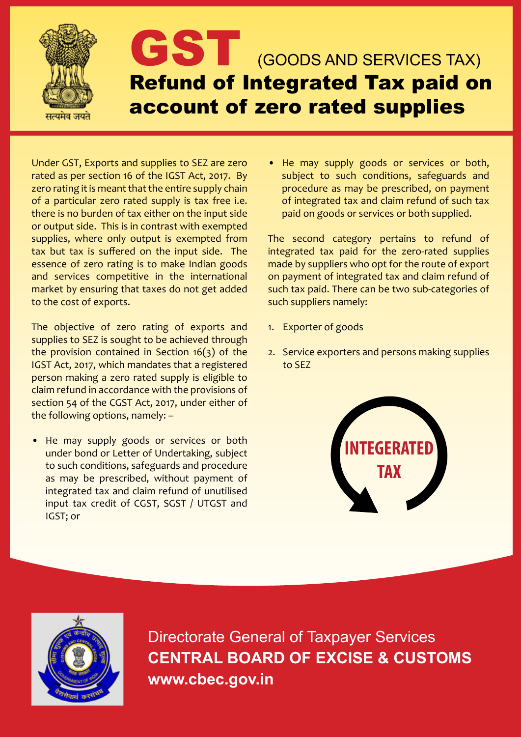

Under GST, Exports and supplies to SEZ are zero rated as per section 16 of the IGST Act, 2017. By zero rating it is meant that the entire supply chain of a particular zero rated supply is tax free i.e. there is no burden of tax either on the input side or output side. This is in contrast with exempted supplies, where only output is exempted from tax but tax is suffered on the input side. The essence of zero rating is to make Indian goods and services competitive in the international market by ensuring that taxes do not get added to the cost of exports.

The objective of zero rating of exports and supplies to SEZ is sought to be achieved through the provision contained in Section  $16(3)$  of the IGST Act, 2017, which mandates that a registered person making a zero rated supply is eligible to claim refund in accordance with the provisions of section 54 of the CGST Act, 2017, under either of the following options, namely: –

• He may supply goods or services or both under bond or Letter of Undertaking, subject to such conditions, safeguards and procedure as may be prescribed, without payment of integrated tax and claim refund of unutilised input tax credit of CGST, SGST / UTGST and IGST; or

He may supply goods or services or both, subject to such conditions, safeguards and procedure as may be prescribed, on payment of integrated tax and claim refund of such tax paid on goods or services or both supplied.

The second category pertains to refund of integrated tax paid for the zero-rated supplies made by suppliers who opt for the route of export on payment of integrated tax and claim refund of such tax paid. There can be two sub-categories of such suppliers namely:

- 1. Exporter of goods
- 2. Service exporters and persons making supplies to SEZ





Directorate General of Taxpayer Services **CENTRAL BOARD OF EXCISE & CUSTOMS www.cbec.gov.in**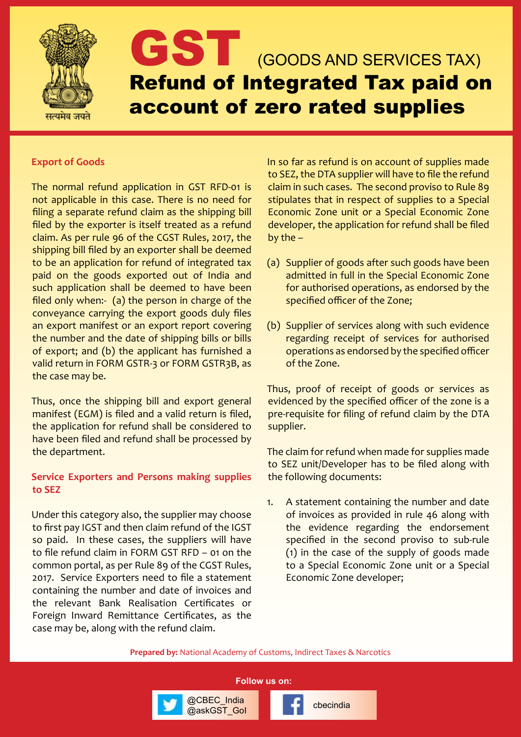

## GST (GOODS AND SERVICES TAX) Refund of Integrated Tax paid on account of zero rated supplies

## **Export of Goods**

The normal refund application in GST RFD-01 is not applicable in this case. There is no need for filing a separate refund claim as the shipping bill filed by the exporter is itself treated as a refund claim. As per rule 96 of the CGST Rules, 2017, the shipping bill filed by an exporter shall be deemed to be an application for refund of integrated tax paid on the goods exported out of India and such application shall be deemed to have been filed only when:- (a) the person in charge of the conveyance carrying the export goods duly files an export manifest or an export report covering the number and the date of shipping bills or bills of export; and (b) the applicant has furnished a valid return in FORM GSTR-3 or FORM GSTR3B, as the case may be.

Thus, once the shipping bill and export general manifest (EGM) is filed and a valid return is filed, the application for refund shall be considered to have been filed and refund shall be processed by the department.

## **Service Exporters and Persons making supplies to SEZ**

Under this category also, the supplier may choose to first pay IGST and then claim refund of the IGST so paid. In these cases, the suppliers will have to file refund claim in FORM GST RFD – 01 on the common portal, as per Rule 89 of the CGST Rules, 2017. Service Exporters need to file a statement containing the number and date of invoices and the relevant Bank Realisation Certificates or Foreign Inward Remittance Certificates, as the case may be, along with the refund claim.

In so far as refund is on account of supplies made to SEZ, the DTA supplier will have to file the refund claim in such cases. The second proviso to Rule 89 stipulates that in respect of supplies to a Special Economic Zone unit or a Special Economic Zone developer, the application for refund shall be filed by the –

- (a) Supplier of goods after such goods have been admitted in full in the Special Economic Zone for authorised operations, as endorsed by the specified officer of the Zone;
- (b) Supplier of services along with such evidence regarding receipt of services for authorised operations as endorsed by the specified officer of the Zone.

Thus, proof of receipt of goods or services as evidenced by the specified officer of the zone is a pre-requisite for filing of refund claim by the DTA supplier.

The claim for refund when made for supplies made to SEZ unit/Developer has to be filed along with the following documents:

1. A statement containing the number and date of invoices as provided in rule 46 along with the evidence regarding the endorsement specified in the second proviso to sub-rule (1) in the case of the supply of goods made to a Special Economic Zone unit or a Special Economic Zone developer;

**Prepared by:** National Academy of Customs, Indirect Taxes & Narcotics

**Follow us on:**

@CBEC\_India<br>@askGST\_Gol **change of checindia** 

@CBEC\_India